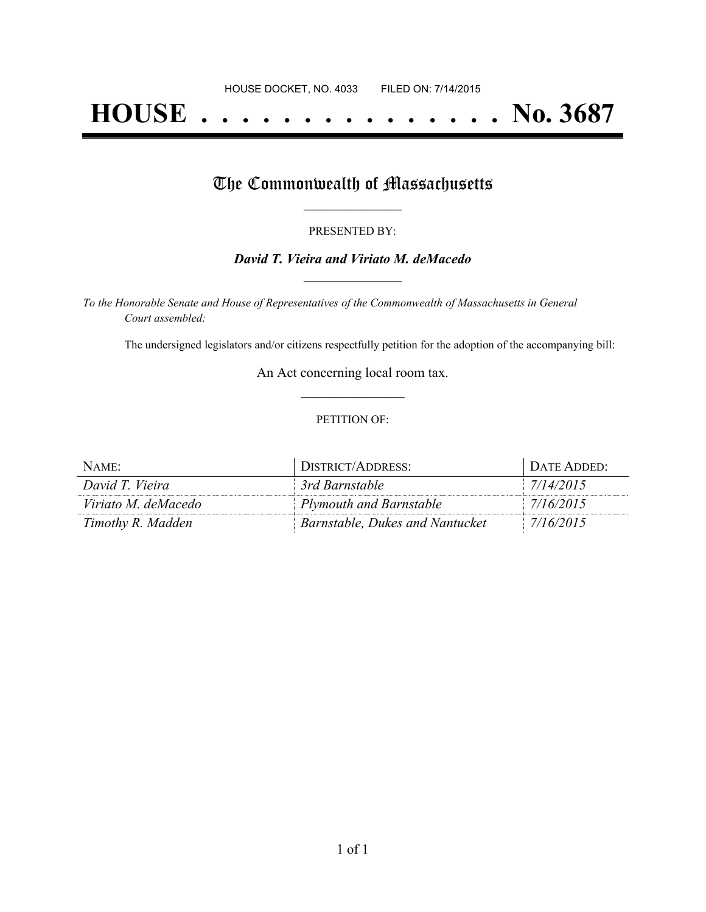# **HOUSE . . . . . . . . . . . . . . . No. 3687**

## The Commonwealth of Massachusetts

#### PRESENTED BY:

#### *David T. Vieira and Viriato M. deMacedo* **\_\_\_\_\_\_\_\_\_\_\_\_\_\_\_\_\_**

*To the Honorable Senate and House of Representatives of the Commonwealth of Massachusetts in General Court assembled:*

The undersigned legislators and/or citizens respectfully petition for the adoption of the accompanying bill:

An Act concerning local room tax. **\_\_\_\_\_\_\_\_\_\_\_\_\_\_\_**

#### PETITION OF:

| NAME:               | DISTRICT/ADDRESS:               | DATE ADDED: |
|---------------------|---------------------------------|-------------|
| David T. Vieira     | 3rd Barnstable                  | 7/14/2015   |
| Viriato M. deMacedo | Plymouth and Barnstable         | 7/16/2015   |
| Timothy R. Madden   | Barnstable, Dukes and Nantucket | 7/16/2015   |